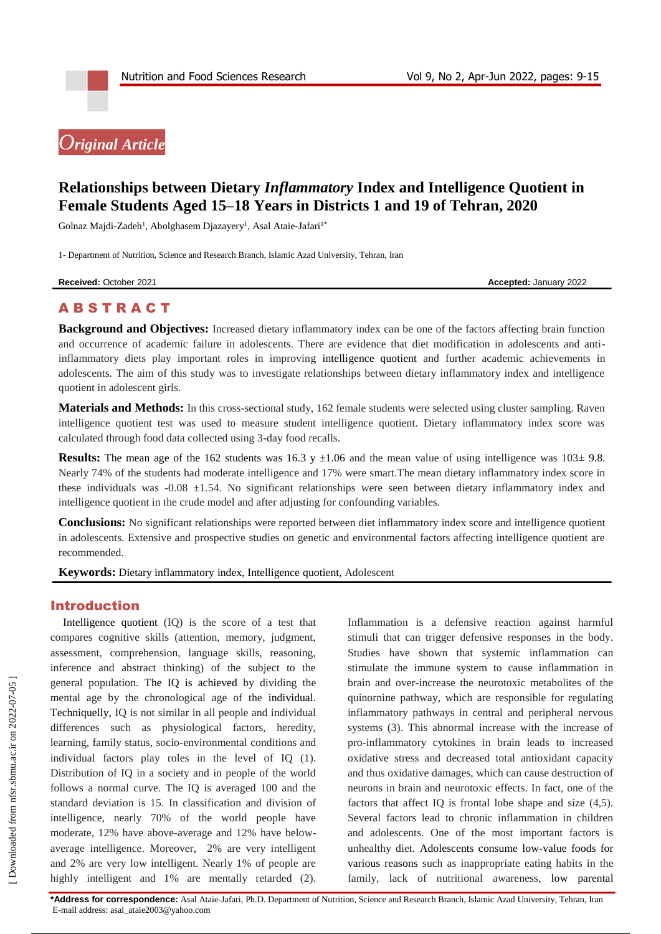# *Original Article*

# **Relationships between Dietary** *Inflammatory* **Index and Intelligence Quotient in Female Students Aged 15–18 Years in Districts 1 and 19 of Tehran, 2020**

Golnaz Majdi-Zadeh<sup>1</sup>, Abolghasem Djazayery<sup>1</sup>, Asal Ataie-Jafari<sup>1\*</sup>

1- Department of Nutrition, Science and Research Branch, Islamic Azad University, Tehran, Iran

**Received: October 2021 Accepted: January 2022** 

# **ABSTRACT**

**Background and Objectives:** Increased dietary inflammatory index can be one of the factors affecting brain function and occurrence of academic failure in adolescents. There are evidence that diet modification in adolescents and antiinflammatory diets play important roles in improving intelligence quotient and further academic achievements in adolescents. The aim of this study was to investigate relationships between dietary inflammatory index and intelligence quotient in adolescent girls.

**Materials and Methods:** In this cross-sectional study, 162 female students were selected using cluster sampling. Raven intelligence quotient test was used to measure student intelligence quotient. Dietary inflammatory index score was calculated through food data collected using 3-day food recalls.

**Results:** The mean age of the 162 students was 16.3 y  $\pm 1.06$  and the mean value of using intelligence was 103 $\pm$  9.8. Nearly 74% of the students had moderate intelligence and 17% were smart.The mean dietary inflammatory index score in these individuals was -0.08 ±1.54. No significant relationships were seen between dietary inflammatory index and intelligence quotient in the crude model and after adjusting for confounding variables.

**Conclusions:** No significant relationships were reported between diet inflammatory index score and intelligence quotient in adolescents. Extensive and prospective studies on genetic and environmental factors affecting intelligence quotient are recommended.

**Keywords:** Dietary inflammatory index, Intelligence quotient, Adolescent

## Introduction

Intelligence quotient (IQ) is the score of a test that compares cognitive skills (attention, memory, judgment, assessment, comprehension, language skills, reasoning, inference and abstract thinking) of the subject to the general population. The IQ is achieved by dividing the mental age by the chronological age of the individual. Techniquelly, IQ is not similar in all people and individual differences such as physiological factors, heredity, learning, family status, socio-environmental conditions and individual factors play roles in the level of IQ (1). Distribution of IQ in a society and in people of the world follows a normal curve. The IQ is averaged 100 and the standard deviation is 15. In classification and division of intelligence, nearly 70% of the world people have moderate, 12% have above-average and 12% have belowaverage intelligence. Moreover, 2% are very intelligent and 2% are very low intelligent. Nearly 1% of people are highly intelligent and 1% are mentally retarded (2).

Inflammation is a defensive reaction against harmful stimuli that can trigger defensive responses in the body. Studies have shown that systemic inflammation can stimulate the immune system to cause inflammation in brain and over-increase the neurotoxic metabolites of the quinornine pathway, which are responsible for regulating inflammatory pathways in central and peripheral nervous systems (3). This abnormal increase with the increase of pro-inflammatory cytokines in brain leads to increased oxidative stress and decreased total antioxidant capacity and thus oxidative damages, which can cause destruction of neurons in brain and neurotoxic effects. In fact, one of the factors that affect IQ is frontal lobe shape and size (4,5). Several factors lead to chronic inflammation in children and adolescents. One of the most important factors is unhealthy diet. Adolescents consume low-value foods for various reasons such as inappropriate eating habits in the family, lack of nutritional awareness, low parental

**\*Address for correspondence:** Asal Ataie-Jafari, Ph.D. Department of Nutrition, Science and Research Branch, Islamic Azad University, Tehran, Iran E-mail address: asal\_ataie2003@yahoo.com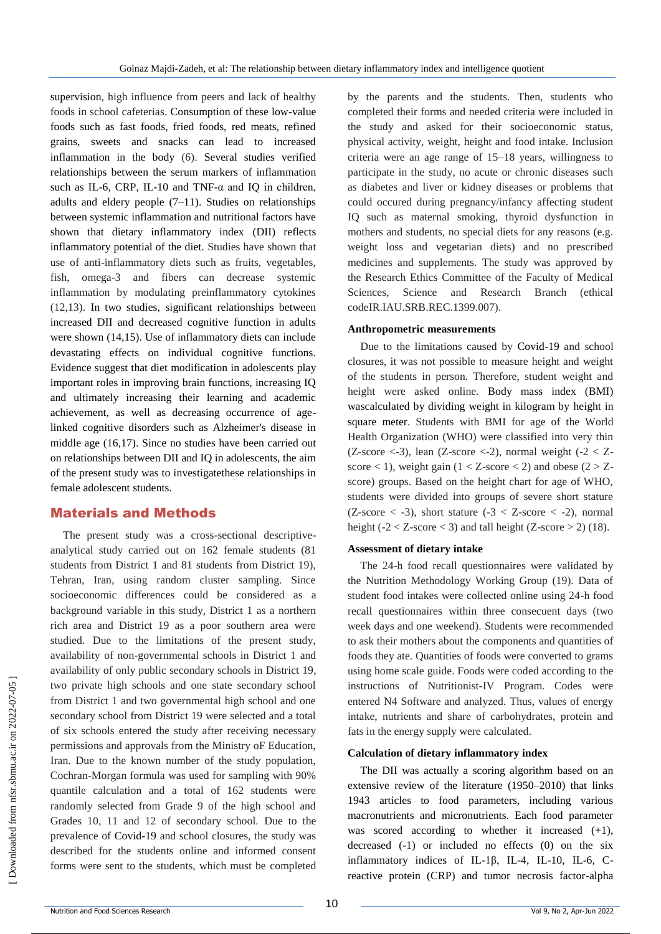supervision, high influence from peers and lack of healthy foods in school cafeterias. Consumption of these low-value foods such as fast foods, fried foods, red meats, refined grains, sweets and snacks can lead to increased inflammation in the body (6). Several studies verified relationships between the serum markers of inflammation such as IL-6, CRP, IL-10 and TNF- $\alpha$  and IQ in children, adults and eldery people  $(7-11)$ . Studies on relationships between systemic inflammation and nutritional factors have shown that dietary inflammatory index (DII) reflects inflammatory potential of the diet. Studies have shown that use of anti-inflammatory diets such as fruits, vegetables, fish, omega-3 and fibers can decrease systemic inflammation by modulating preinflammatory cytokines (12,13). In two studies, significant relationships between increased DII and decreased cognitive function in adults were shown (14,15). Use of inflammatory diets can include devastating effects on individual cognitive functions. Evidence suggest that diet modification in adolescents play important roles in improving brain functions, increasing IQ and ultimately increasing their learning and academic achievement, as well as decreasing occurrence of agelinked cognitive disorders such as Alzheimer's disease in middle age (16,17). Since no studies have been carried out on relationships between DII and IQ in adolescents, the aim of the present study was to investigatethese relationships in female adolescent students.

## Materials and Methods

The present study was a cross-sectional descriptiveanalytical study carried out on 162 female students (81 students from District 1 and 81 students from District 19), Tehran, Iran, using random cluster sampling. Since socioeconomic differences could be considered as a background variable in this study, District 1 as a northern rich area and District 19 as a poor southern area were studied. Due to the limitations of the present study, availability of non-governmental schools in District 1 and availability of only public secondary schools in District 19, two private high schools and one state secondary school from District 1 and two governmental high school and one secondary school from District 19 were selected and a total of six schools entered the study after receiving necessary permissions and approvals from the Ministry oF Education, Iran. Due to the known number of the study population, Cochran-Morgan formula was used for sampling with 90% quantile calculation and a total of 162 students were randomly selected from Grade 9 of the high school and Grades 10, 11 and 12 of secondary school. Due to the prevalence of Covid-19 and school closures, the study was described for the students online and informed consent forms were sent to the students, which must be completed by the parents and the students. Then, students who completed their forms and needed criteria were included in the study and asked for their socioeconomic status, physical activity, weight, height and food intake. Inclusion criteria were an age range of 15–18 years, willingness to participate in the study, no acute or chronic diseases such as diabetes and liver or kidney diseases or problems that could occured during pregnancy/infancy affecting student IQ such as maternal smoking, thyroid dysfunction in mothers and students, no special diets for any reasons (e.g. weight loss and vegetarian diets) and no prescribed medicines and supplements. The study was approved by the Research Ethics Committee of the Faculty of Medical Sciences, Science and Research Branch (ethical codeIR.IAU.SRB.REC.1399.007).

#### **Anthropometric measurements**

Due to the limitations caused by Covid-19 and school closures, it was not possible to measure height and weight of the students in person. Therefore, student weight and height were asked online. Body mass index (BMI) wascalculated by dividing weight in kilogram by height in square meter. Students with BMI for age of the World Health Organization (WHO) were classified into very thin (Z-score  $\langle -3 \rangle$ , lean (Z-score  $\langle -2 \rangle$ , normal weight (-2  $\langle$  Zscore < 1), weight gain  $(1 < Z$ -score < 2) and obese  $(2 > Z$ score) groups. Based on the height chart for age of WHO, students were divided into groups of severe short stature  $(Z-score < -3)$ , short stature  $(-3 < Z-score < -2)$ , normal height  $(-2 < Z$ -score  $< 3$ ) and tall height  $(Z$ -score  $> 2)$  (18).

#### **Assessment of dietary intake**

The 24-h food recall questionnaires were validated by the Nutrition Methodology Working Group (19). Data of student food intakes were collected online using 24-h food recall questionnaires within three consecuent days (two week days and one weekend). Students were recommended to ask their mothers about the components and quantities of foods they ate. Quantities of foods were converted to grams using home scale guide. Foods were coded according to the instructions of Nutritionist-IV Program. Codes were entered N4 Software and analyzed. Thus, values of energy intake, nutrients and share of carbohydrates, protein and fats in the energy supply were calculated.

#### **Calculation of dietary inflammatory index**

The DII was actually a scoring algorithm based on an extensive review of the literature (1950–2010) that links 1943 articles to food parameters, including various macronutrients and micronutrients. Each food parameter was scored according to whether it increased  $(+1)$ , decreased (-1) or included no effects (0) on the six inflammatory indices of IL-1β, IL-4, IL-10, IL-6, Creactive protein (CRP) and tumor necrosis factor-alpha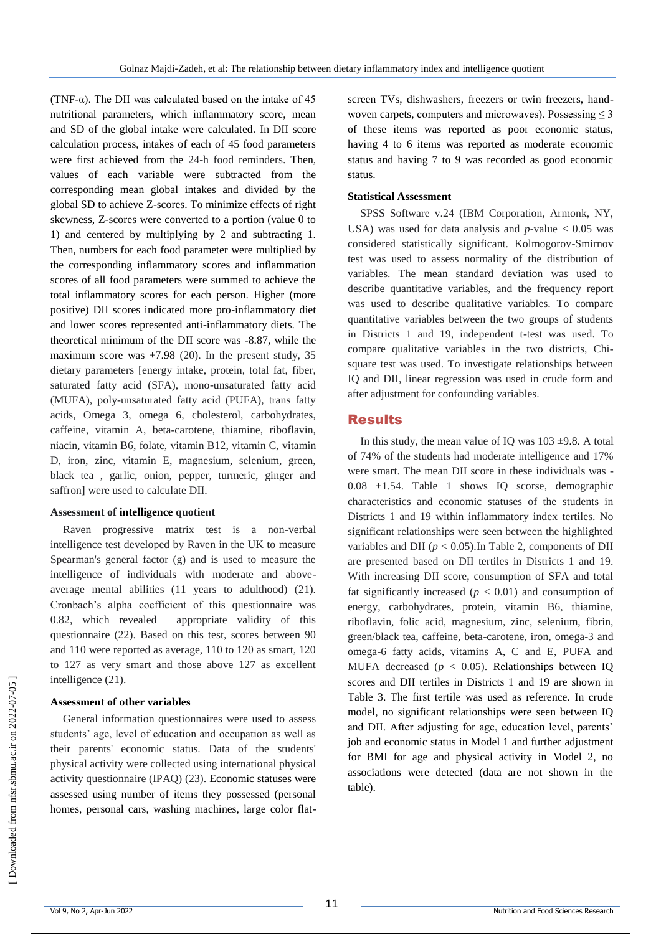(TNF- $\alpha$ ). The DII was calculated based on the intake of 45 nutritional parameters, which inflammatory score, mean and SD of the global intake were calculated. In DII score calculation process, intakes of each of 45 food parameters were first achieved from the 24-h food reminders. Then, values of each variable were subtracted from the corresponding mean global intakes and divided by the global SD to achieve Z-scores. To minimize effects of right skewness, Z-scores were converted to a portion (value 0 to 1) and centered by multiplying by 2 and subtracting 1. Then, numbers for each food parameter were multiplied by the corresponding inflammatory scores and inflammation scores of all food parameters were summed to achieve the total inflammatory scores for each person. Higher (more positive) DII scores indicated more pro-inflammatory diet and lower scores represented anti-inflammatory diets. The theoretical minimum of the DII score was -8.87, while the maximum score was  $+7.98$  (20). In the present study, 35 dietary parameters [energy intake, protein, total fat, fiber, saturated fatty acid (SFA), mono-unsaturated fatty acid (MUFA), poly-unsaturated fatty acid (PUFA), trans fatty acids, Omega 3, omega 6, cholesterol, carbohydrates, caffeine, vitamin A, beta-carotene, thiamine, riboflavin, niacin, vitamin B6, folate, vitamin B12, vitamin C, vitamin D, iron, zinc, vitamin E, magnesium, selenium, green, black tea , garlic, onion, pepper, turmeric, ginger and saffron] were used to calculate DII.

#### **Assessment of intelligence quotient**

Raven progressive matrix test is a non-verbal intelligence test developed by Raven in the UK to measure Spearman's general factor (g) and is used to measure the intelligence of individuals with moderate and aboveaverage mental abilities (11 years to adulthood) (21). Cronbach's alpha coefficient of this questionnaire was 0.82, which revealed appropriate validity of this questionnaire (22). Based on this test, scores between 90 and 110 were reported as average, 110 to 120 as smart, 120 to 127 as very smart and those above 127 as excellent intelligence (21).

#### **Assessment of other variables**

General information questionnaires were used to assess students' age, level of education and occupation as well as their parents' economic status. Data of the students' physical activity were collected using international physical activity questionnaire (IPAQ) (23). Economic statuses were assessed using number of items they possessed (personal homes, personal cars, washing machines, large color flat-

screen TVs, dishwashers, freezers or twin freezers, handwoven carpets, computers and microwaves). Possessing  $\leq 3$ of these items was reported as poor economic status, having 4 to 6 items was reported as moderate economic status and having 7 to 9 was recorded as good economic status.

#### **Statistical Assessment**

SPSS Software v.24 (IBM Corporation, Armonk, NY, USA) was used for data analysis and  $p$ -value  $< 0.05$  was considered statistically significant. Kolmogorov-Smirnov test was used to assess normality of the distribution of variables. The mean standard deviation was used to describe quantitative variables, and the frequency report was used to describe qualitative variables. To compare quantitative variables between the two groups of students in Districts 1 and 19, independent t-test was used. To compare qualitative variables in the two districts, Chisquare test was used. To investigate relationships between IQ and DII, linear regression was used in crude form and after adjustment for confounding variables.

#### Results

In this study, the mean value of IQ was  $103 \pm 9.8$ . A total of 74% of the students had moderate intelligence and 17% were smart. The mean DII score in these individuals was - 0.08 ±1.54. Table 1 shows IQ scorse, demographic characteristics and economic statuses of the students in Districts 1 and 19 within inflammatory index tertiles. No significant relationships were seen between the highlighted variables and DII  $(p < 0.05)$ . In Table 2, components of DII are presented based on DII tertiles in Districts 1 and 19. With increasing DII score, consumption of SFA and total fat significantly increased ( $p < 0.01$ ) and consumption of energy, carbohydrates, protein, vitamin B6, thiamine, riboflavin, folic acid, magnesium, zinc, selenium, fibrin, green/black tea, caffeine, beta-carotene, iron, omega-3 and omega-6 fatty acids, vitamins A, C and E, PUFA and MUFA decreased ( $p < 0.05$ ). Relationships between IQ scores and DII tertiles in Districts 1 and 19 are shown in Table 3. The first tertile was used as reference. In crude model, no significant relationships were seen between IQ and DII. After adjusting for age, education level, parents' job and economic status in Model 1 and further adjustment for BMI for age and physical activity in Model 2, no associations were detected (data are not shown in the table).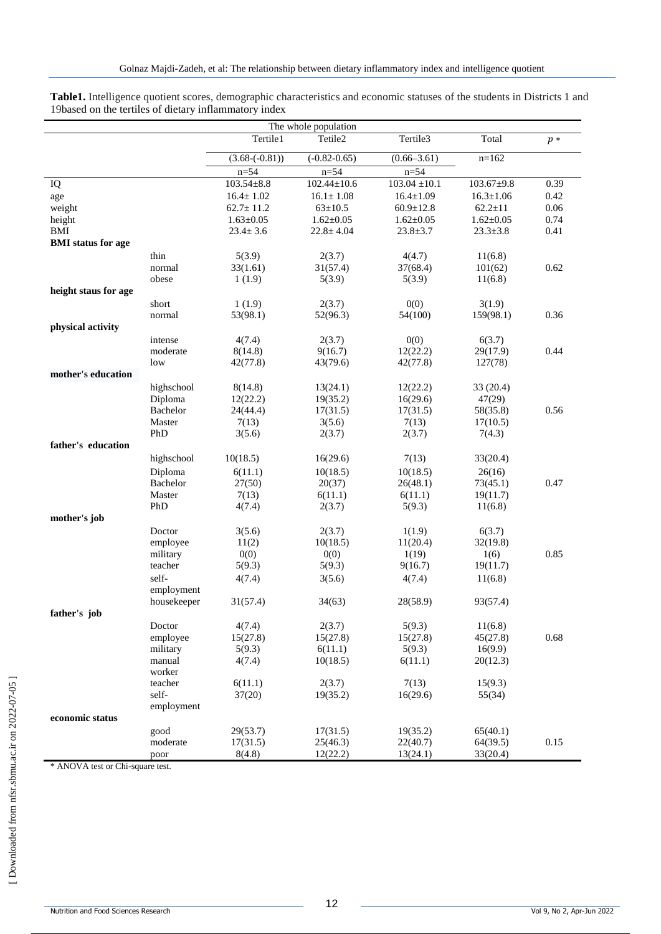| The whole population      |             |                    |                     |                   |                  |       |  |
|---------------------------|-------------|--------------------|---------------------|-------------------|------------------|-------|--|
|                           |             | Tertile1           | Tetile <sub>2</sub> | Tertile3          | Total            | $p *$ |  |
|                           |             | $(3.68 - (-0.81))$ | $(-0.82 - 0.65)$    | $(0.66 - 3.61)$   | $n=162$          |       |  |
|                           |             | $n = 54$           | $n = 54$            | $n = 54$          |                  |       |  |
| IQ                        |             | $103.54 \pm 8.8$   | $102.44 \pm 10.6$   | $103.04 \pm 10.1$ | $103.67 \pm 9.8$ | 0.39  |  |
| age                       |             | $16.4 \pm 1.02$    | $16.1 \pm 1.08$     | $16.4 \pm 1.09$   | $16.3 \pm 1.06$  | 0.42  |  |
| weight                    |             | $62.7 \pm 11.2$    | $63 \pm 10.5$       | $60.9 \pm 12.8$   | $62.2 \pm 11$    | 0.06  |  |
| height                    |             | $1.63 \pm 0.05$    | $1.62 \pm 0.05$     | $1.62 \pm 0.05$   | $1.62 \pm 0.05$  | 0.74  |  |
| <b>BMI</b>                |             | $23.4 \pm 3.6$     | $22.8 \pm 4.04$     | $23.8 \pm 3.7$    | $23.3 \pm 3.8$   | 0.41  |  |
| <b>BMI</b> status for age |             |                    |                     |                   |                  |       |  |
|                           | thin        | 5(3.9)             | 2(3.7)              | 4(4.7)            | 11(6.8)          |       |  |
|                           | normal      | 33(1.61)           | 31(57.4)            | 37(68.4)          | 101(62)          | 0.62  |  |
|                           | obese       | 1(1.9)             | 5(3.9)              | 5(3.9)            | 11(6.8)          |       |  |
| height staus for age      |             |                    |                     |                   |                  |       |  |
|                           | short       | 1(1.9)             | 2(3.7)              | 0(0)              | 3(1.9)           |       |  |
|                           | normal      | 53(98.1)           | 52(96.3)            | 54(100)           | 159(98.1)        | 0.36  |  |
| physical activity         |             |                    |                     |                   |                  |       |  |
|                           | intense     | 4(7.4)             | 2(3.7)              | 0(0)              | 6(3.7)           |       |  |
|                           | moderate    | 8(14.8)            | 9(16.7)             | 12(22.2)          | 29(17.9)         | 0.44  |  |
|                           | low         | 42(77.8)           | 43(79.6)            | 42(77.8)          | 127(78)          |       |  |
| mother's education        |             |                    |                     |                   |                  |       |  |
|                           | highschool  | 8(14.8)            | 13(24.1)            | 12(22.2)          | 33 (20.4)        |       |  |
|                           | Diploma     | 12(22.2)           | 19(35.2)            | 16(29.6)          | 47(29)           |       |  |
|                           | Bachelor    | 24(44.4)           | 17(31.5)            | 17(31.5)          | 58(35.8)         | 0.56  |  |
|                           | Master      | 7(13)              | 3(5.6)              | 7(13)             | 17(10.5)         |       |  |
|                           | PhD         | 3(5.6)             | 2(3.7)              | 2(3.7)            | 7(4.3)           |       |  |
| father's education        |             |                    |                     |                   |                  |       |  |
|                           | highschool  | 10(18.5)           | 16(29.6)            | 7(13)             | 33(20.4)         |       |  |
|                           | Diploma     | 6(11.1)            | 10(18.5)            | 10(18.5)          | 26(16)           |       |  |
|                           | Bachelor    | 27(50)             | 20(37)              | 26(48.1)          | 73(45.1)         | 0.47  |  |
|                           | Master      | 7(13)              | 6(11.1)             | 6(11.1)           | 19(11.7)         |       |  |
|                           | PhD         | 4(7.4)             | 2(3.7)              | 5(9.3)            | 11(6.8)          |       |  |
| mother's job              |             |                    |                     |                   |                  |       |  |
|                           | Doctor      | 3(5.6)             | 2(3.7)              | 1(1.9)            | 6(3.7)           |       |  |
|                           | employee    | 11(2)              | 10(18.5)            | 11(20.4)          | 32(19.8)         |       |  |
|                           | military    | 0(0)               | 0(0)                | 1(19)             | 1(6)             | 0.85  |  |
|                           | teacher     | 5(9.3)             | 5(9.3)              | 9(16.7)           | 19(11.7)         |       |  |
|                           | self-       | 4(7.4)             | 3(5.6)              | 4(7.4)            | 11(6.8)          |       |  |
|                           | employment  |                    |                     |                   |                  |       |  |
|                           | housekeeper | 31(57.4)           | 34(63)              | 28(58.9)          | 93(57.4)         |       |  |
| father's job              |             |                    |                     |                   |                  |       |  |
|                           | Doctor      | 4(7.4)             | 2(3.7)              | 5(9.3)            | 11(6.8)          |       |  |
|                           | employee    | 15(27.8)           | 15(27.8)            | 15(27.8)          | 45(27.8)         | 0.68  |  |
|                           | military    | 5(9.3)             | 6(11.1)             | 5(9.3)            | 16(9.9)          |       |  |
|                           | manual      | 4(7.4)             | 10(18.5)            | 6(11.1)           | 20(12.3)         |       |  |
|                           | worker      |                    |                     |                   |                  |       |  |
|                           | teacher     | 6(11.1)            | 2(3.7)              | 7(13)             | 15(9.3)          |       |  |
|                           | self-       | 37(20)             | 19(35.2)            | 16(29.6)          | 55(34)           |       |  |
|                           | employment  |                    |                     |                   |                  |       |  |
| economic status           |             |                    |                     |                   |                  |       |  |
|                           | good        | 29(53.7)           | 17(31.5)            | 19(35.2)          | 65(40.1)         |       |  |
|                           | moderate    | 17(31.5)           | 25(46.3)            | 22(40.7)          | 64(39.5)         | 0.15  |  |
|                           | poor        | 8(4.8)             | 12(22.2)            | 13(24.1)          | 33(20.4)         |       |  |

**Table1.** Intelligence quotient scores, demographic characteristics and economic statuses of the students in Districts 1 and 19based on the tertiles of dietary inflammatory index

\* ANOVA test or Chi-square test.

Ē, l,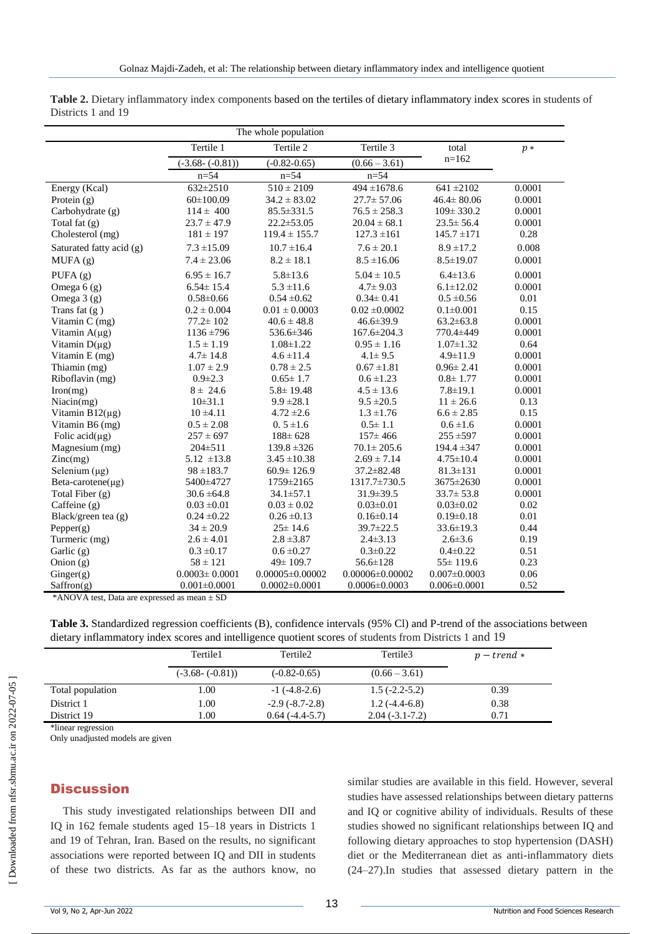| The whole population     |                     |                       |                       |                    |        |  |
|--------------------------|---------------------|-----------------------|-----------------------|--------------------|--------|--|
|                          | Tertile 1           | Tertile 2             | Tertile 3             | total              | $p *$  |  |
|                          | $(-3.68 - (-0.81))$ | $(-0.82 - 0.65)$      | $(0.66 - 3.61)$       | $n=162$            |        |  |
|                          | $n = 54$            | $n = 54$              | $n = 54$              |                    |        |  |
| Energy (Kcal)            | $632 \pm 2510$      | $510 \pm 2109$        | $494 \pm 1678.6$      | $641 + 2102$       | 0.0001 |  |
| Protein $(g)$            | $60 \pm 100.09$     | $34.2 \pm 83.02$      | $27.7 \pm 57.06$      | $46.4 \pm 80.06$   | 0.0001 |  |
| Carbohydrate (g)         | $114 \pm 400$       | 85.5 ± 331.5          | $76.5 \pm 258.3$      | $109 \pm 330.2$    | 0.0001 |  |
| Total fat (g)            | $23.7 \pm 47.9$     | $22.2 \pm 53.05$      | $20.04 \pm 68.1$      | $23.5 \pm 56.4$    | 0.0001 |  |
| Cholesterol (mg)         | $181 \pm 197$       | $119.4 \pm 155.7$     | $127.3 \pm 161$       | $145.7 \pm 171$    | 0.28   |  |
| Saturated fatty acid (g) | $7.3 \pm 15.09$     | $10.7 \pm 16.4$       | $7.6 \pm 20.1$        | $8.9 \pm 17.2$     | 0.008  |  |
| MUFA(g)                  | $7.4 \pm 23.06$     | $8.2 \pm 18.1$        | $8.5 \pm 16.06$       | $8.5 \pm 19.07$    | 0.0001 |  |
| PUFA $(g)$               | $6.95 \pm 16.7$     | $5.8 \pm 13.6$        | $5.04 \pm 10.5$       | $6.4 \pm 13.6$     | 0.0001 |  |
| Omega $6(g)$             | $6.54 \pm 15.4$     | $5.3 \pm 11.6$        | $4.7 \pm 9.03$        | $6.1 \pm 12.02$    | 0.0001 |  |
| Omega $3(g)$             | $0.58 \pm 0.66$     | $0.54 \pm 0.62$       | $0.34 \pm 0.41$       | $0.5 \pm 0.56$     | 0.01   |  |
| Trans fat $(g)$          | $0.2 \pm 0.004$     | $0.01 \pm 0.0003$     | $0.02 \pm 0.0002$     | $0.1 \pm 0.001$    | 0.15   |  |
| Vitamin $C$ (mg)         | $77.2 \pm 102$      | $40.6 \pm 48.8$       | $46.6 \pm 39.9$       | $63.2 \pm 63.8$    | 0.0001 |  |
| Vitamin $A(\mu g)$       | $1136 \pm 796$      | 536.6±346             | $167.6 \pm 204.3$     | 770.4±449          | 0.0001 |  |
| Vitamin $D(\mu g)$       | $1.5 \pm 1.19$      | $1.08 \pm 1.22$       | $0.95 \pm 1.16$       | $1.07 \pm 1.32$    | 0.64   |  |
| Vitamin E (mg)           | $4.7 \pm 14.8$      | $4.6 \pm 11.4$        | $4.1 \pm 9.5$         | $4.9 \pm 11.9$     | 0.0001 |  |
| Thiamin (mg)             | $1.07 \pm 2.9$      | $0.78 \pm 2.5$        | $0.67 \pm 1.81$       | $0.96 \pm 2.41$    | 0.0001 |  |
| Riboflavin (mg)          | $0.9 \pm 2.3$       | $0.65 \pm 1.7$        | $0.6 \pm 1.23$        | $0.8 \pm 1.77$     | 0.0001 |  |
| Iron(mg)                 | $8 \pm 24.6$        | $5.8 \pm 19.48$       | $4.5 \pm 13.6$        | $7.8 \pm 19.1$     | 0.0001 |  |
| Niacin(mg)               | $10 \pm 31.1$       | $9.9 \pm 28.1$        | $9.5 \pm 20.5$        | $11 \pm 26.6$      | 0.13   |  |
| Vitamin $B12(\mu g)$     | $10 \pm 4.11$       | $4.72 \pm 2.6$        | $1.3 \pm 1.76$        | $6.6 \pm 2.85$     | 0.15   |  |
| Vitamin B6 (mg)          | $0.5 \pm 2.08$      | $0.5 \pm 1.6$         | $0.5 \pm 1.1$         | $0.6 \pm 1.6$      | 0.0001 |  |
| Folic $\arctan(\mu g)$   | $257 \pm 697$       | $188 \pm 628$         | $157 \pm 466$         | $255 + 597$        | 0.0001 |  |
| Magnesium (mg)           | $204 \pm 511$       | $139.8 \pm 326$       | $70.1 \pm 205.6$      | $194.4 \pm 347$    | 0.0001 |  |
| Zinc(mg)                 | $5.12 \pm 13.8$     | $3.45 \pm 10.38$      | $2.69 \pm 7.14$       | $4.75 \pm 10.4$    | 0.0001 |  |
| Selenium $(\mu g)$       | $98 + 183.7$        | $60.9 \pm 126.9$      | $37.2 \pm 82.48$      | $81.3 \pm 131$     | 0.0001 |  |
| Beta-carotene( $\mu$ g)  | 5400±4727           | 1759±2165             | 1317.7±730.5          | 3675±2630          | 0.0001 |  |
| Total Fiber (g)          | $30.6 \pm 64.8$     | $34.1 \pm 57.1$       | 31.9±39.5             | $33.7 \pm 53.8$    | 0.0001 |  |
| Caffeine $(g)$           | $0.03 \pm 0.01$     | $0.03 \pm 0.02$       | $0.03 \pm 0.01$       | $0.03 \pm 0.02$    | 0.02   |  |
| Black/green tea (g)      | $0.24 \pm 0.22$     | $0.26 \pm 0.13$       | $0.16 \pm 0.14$       | $0.19 \pm 0.18$    | 0.01   |  |
| Pepper(g)                | $34 \pm 20.9$       | $25 \pm 14.6$         | 39.7±22.5             | $33.6 \pm 19.3$    | 0.44   |  |
| Turmeric (mg)            | $2.6 \pm 4.01$      | $2.8 \pm 3.87$        | $2.4 \pm 3.13$        | $2.6 \pm 3.6$      | 0.19   |  |
| Garlic $(g)$             | $0.3 \pm 0.17$      | $0.6 \pm 0.27$        | $0.3 \pm 0.22$        | $0.4 \pm 0.22$     | 0.51   |  |
| Onion $(g)$              | $58 \pm 121$        | 49±109.7              | 56.6±128              | $55 \pm 119.6$     | 0.23   |  |
| Ginger(g)                | $0.0003 \pm 0.0001$ | $0.00005 \pm 0.00002$ | $0.00006 \pm 0.00002$ | $0.007 \pm 0.0003$ | 0.06   |  |
| Saffron(g)               | $0.001 \pm 0.0001$  | $0.0002 \pm 0.0001$   | $0.0006 \pm 0.0003$   | $0.006 \pm 0.0001$ | 0.52   |  |

**Table 2.** Dietary inflammatory index components based on the tertiles of dietary inflammatory index scores in students of Districts 1 and 19

\*ANOVA test, Data are expressed as mean ± SD

**Table 3.** Standardized regression coefficients (B), confidence intervals (95% Cl) and P-trend of the associations between dietary inflammatory index scores and intelligence quotient scores of students from Districts 1 and 19

|                  | Tertile1            | Tertile <sub>2</sub> | Tertile3         | $p - trend *$ |
|------------------|---------------------|----------------------|------------------|---------------|
|                  | $(-3.68 - (-0.81))$ | $(-0.82 - 0.65)$     | $(0.66 - 3.61)$  |               |
| Total population | 1.00                | $-1$ ( $-4.8-2.6$ )  | $1.5(-2.2-5.2)$  | 0.39          |
| District 1       | 1.00                | $-2.9(-8.7-2.8)$     | $1.2(-4.4-6.8)$  | 0.38          |
| District 19      | 00.1                | $0.64(-4.4-5.7)$     | $2.04(-3.1-7.2)$ | 0.71          |

\*linear regression

Only unadjusted models are given

# **Discussion**

This study investigated relationships between DII and IQ in 162 female students aged 15–18 years in Districts 1 and 19 of Tehran, Iran. Based on the results, no significant associations were reported between IQ and DII in students of these two districts. As far as the authors know, no similar studies are available in this field. However, several studies have assessed relationships between dietary patterns and IQ or cognitive ability of individuals. Results of these studies showed no significant relationships between IQ and following dietary approaches to stop hypertension (DASH) diet or the Mediterranean diet as anti-inflammatory diets (24–27).In studies that assessed dietary pattern in the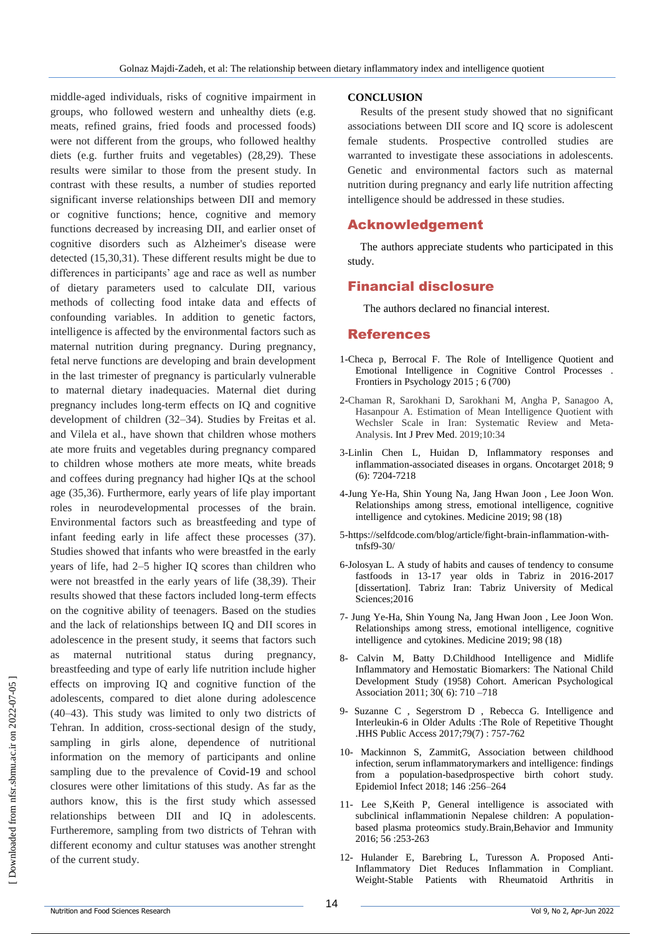middle-aged individuals, risks of cognitive impairment in groups, who followed western and unhealthy diets (e.g. meats, refined grains, fried foods and processed foods) were not different from the groups, who followed healthy diets (e.g. further fruits and vegetables) (28,29). These results were similar to those from the present study. In contrast with these results, a number of studies reported significant inverse relationships between DII and memory or cognitive functions; hence, cognitive and memory functions decreased by increasing DII, and earlier onset of cognitive disorders such as Alzheimer's disease were detected (15,30,31). These different results might be due to differences in participants' age and race as well as number of dietary parameters used to calculate DII, various methods of collecting food intake data and effects of confounding variables. In addition to genetic factors, intelligence is affected by the environmental factors such as maternal nutrition during pregnancy. During pregnancy, fetal nerve functions are developing and brain development in the last trimester of pregnancy is particularly vulnerable to maternal dietary inadequacies. Maternal diet during pregnancy includes long-term effects on IQ and cognitive development of children (32–34). Studies by Freitas et al. and Vilela et al., have shown that children whose mothers ate more fruits and vegetables during pregnancy compared to children whose mothers ate more meats, white breads and coffees during pregnancy had higher IQs at the school age (35,36). Furthermore, early years of life play important roles in neurodevelopmental processes of the brain. Environmental factors such as breastfeeding and type of infant feeding early in life affect these processes (37). Studies showed that infants who were breastfed in the early years of life, had 2–5 higher IQ scores than children who were not breastfed in the early years of life (38,39). Their results showed that these factors included long-term effects on the cognitive ability of teenagers. Based on the studies and the lack of relationships between IQ and DII scores in adolescence in the present study, it seems that factors such as maternal nutritional status during pregnancy, breastfeeding and type of early life nutrition include higher effects on improving IQ and cognitive function of the adolescents, compared to diet alone during adolescence (40–43). This study was limited to only two districts of Tehran. In addition, cross-sectional design of the study, sampling in girls alone, dependence of nutritional information on the memory of participants and online sampling due to the prevalence of Covid-19 and school closures were other limitations of this study. As far as the authors know, this is the first study which assessed relationships between DII and IQ in adolescents. Furtheremore, sampling from two districts of Tehran with different economy and cultur statuses was another strenght of the current study.

#### **CONCLUSION**

Results of the present study showed that no significant associations between DII score and IQ score is adolescent female students. Prospective controlled studies are warranted to investigate these associations in adolescents. Genetic and environmental factors such as maternal nutrition during pregnancy and early life nutrition affecting intelligence should be addressed in these studies.

# Acknowledgement

The authors appreciate students who participated in this study.

# Financial disclosure

The authors declared no financial interest.

# References

- 1-Checa p, Berrocal F. The Role of Intelligence Quotient and Emotional Intelligence in Cognitive Control Processes . Frontiers in Psychology 2015; 6 (700)
- 2-Chaman R, Sarokhani D, Sarokhani M, Angha P, Sanagoo A, Hasanpour A. Estimation of Mean Intelligence Quotient with Wechsler Scale in Iran: Systematic Review and Meta-Analysis. Int J Prev Med. 2019;10:34
- 3-Linlin Chen L, Huidan D, Inflammatory responses and inflammation-associated diseases in organs. Oncotarget 2018; 9 (6): 7204-7218
- 4**-**Jung Ye-Ha, Shin Young Na, Jang Hwan Joon , Lee Joon Won. Relationships among stress, emotional intelligence, cognitive intelligence and cytokines. Medicine 2019; 98 (18)
- 5-https://selfdcode.com/blog/article/fight-brain-inflammation-withtnfsf9-30/
- 6-Jolosyan L. A study of habits and causes of tendency to consume fastfoods in 13-17 year olds in Tabriz in 2016-2017 [dissertation]. Tabriz Iran: Tabriz University of Medical Sciences;2016
- 7- Jung Ye-Ha, Shin Young Na, Jang Hwan Joon , Lee Joon Won. Relationships among stress, emotional intelligence, cognitive intelligence and cytokines. Medicine 2019; 98 (18)
- 8- Calvin M, Batty D.Childhood Intelligence and Midlife Inflammatory and Hemostatic Biomarkers: The National Child Development Study (1958) Cohort. American Psychological Association 2011; 30( 6): 710 –718
- 9- Suzanne C , Segerstrom D , Rebecca G. Intelligence and Interleukin-6 in Older Adults :The Role of Repetitive Thought .HHS Public Access 2017;79(7) : 757-762
- 10- Mackinnon S, ZammitG, Association between childhood infection, serum inflammatorymarkers and intelligence: findings from a population-basedprospective birth cohort study. Epidemiol Infect 2018; 146 :256–264
- 11- Lee S,Keith P, General intelligence is associated with subclinical inflammationin Nepalese children: A populationbased plasma proteomics study.Brain,Behavior and Immunity 2016; 56 :253-263
- 12- Hulander E, Barebring L, Turesson A. Proposed Anti-Inflammatory Diet Reduces Inflammation in Compliant. Weight-Stable Patients with Rheumatoid Arthritis in